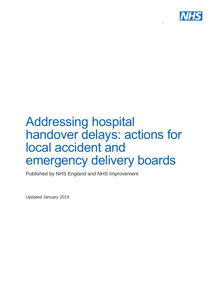

## Addressing hospital handover delays: actions for local accident and emergency delivery boards

Published by NHS England and NHS Improvement

Updated January 2019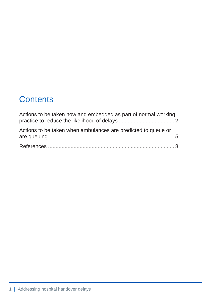### **Contents**

| Actions to be taken now and embedded as part of normal working |
|----------------------------------------------------------------|
| Actions to be taken when ambulances are predicted to queue or  |
|                                                                |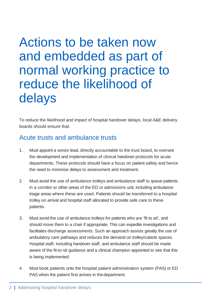## <span id="page-2-0"></span>Actions to be taken now and embedded as part of normal working practice to reduce the likelihood of delays

To reduce the likelihood and impact of hospital handover delays, local A&E delivery boards should ensure that:

### Acute trusts and ambulance trusts

- 1. Must appoint a senior lead, directly accountable to the trust board, to oversee the development and implementation of clinical handover protocols for acute departments. These protocols should have a focus on patient safety and hence the need to minimise delays to assessment and treatment.
- 2. Must avoid the use of ambulance trolleys and ambulance staff to queue patients in a corridor or other areas of the ED or admissions unit, including ambulance triage areas where these are used. Patients should be transferred to a hospital trolley on arrival and hospital staff allocated to provide safe care to these patients.
- 3. Must avoid the use of ambulance trolleys for patients who are 'fit to sit', and should move them to a chair if appropriate. This can expedite investigations and facilitates discharge assessments. Such an approach assists greatly the use of ambulatory care pathways and reduces the demand on trolley/cubicle spaces. Hospital staff, including handover staff, and ambulance staff should be made aware of the fit-to-sit guidance and a clinical champion appointed to see that this is being implemented.
- 4. Must book patients onto the hospital patient administration system (PAS) or ED PAS when the patient first arrives in the department.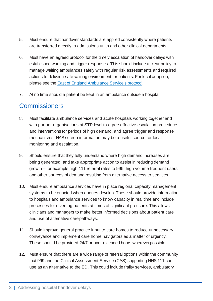- 5. Must ensure that handover standards are applied consistently where patients are transferred directly to admissions units and other clinical departments.
- 6. Must have an agreed protocol for the timely escalation of handover delays with established warning and trigger responses. This should include a clear policy to manage waiting ambulances safely with regular risk assessments and required actions to deliver a safe waiting environment for patients. For local adoption, please see the East of England [Ambulance Service's](https://improvement.nhs.uk/resources/addressing-ambulance-handover-delays-actions-for-local-ae-delivery-boards/) protocol.
- 7. At no time should a patient be kept in an ambulance outside a hospital.

### **Commissioners**

- 8. Must facilitate ambulance services and acute hospitals working together and with partner organisations at STP level to agree effective escalation procedures and interventions for periods of high demand, and agree trigger and response mechanisms. HAS screen information may be a useful source for local monitoring and escalation.
- 9. Should ensure that they fully understand where high demand increases are being generated, and take appropriate action to assist in reducing demand growth – for example high 111 referral rates to 999, high volume frequent users and other sources of demand resulting from alternative access to services.
- 10. Must ensure ambulance services have in place regional capacity management systems to be enacted when queues develop. These should provide information to hospitals and ambulance services to know capacity in real time and include processes for diverting patients at times of significant pressure. This allows clinicians and managers to make better informed decisions about patient care and use of alternative carepathways.
- 11. Should improve general practice input to care homes to reduce unnecessary conveyance and implement care home navigators as a matter of urgency. These should be provided 24/7 or over extended hours whereverpossible.
- 12. Must ensure that there are a wide range of referral options within the community that 999 and the Clinical Assessment Service (CAS) supporting NHS 111 can use as an alternative to the ED. This could include frailty services, ambulatory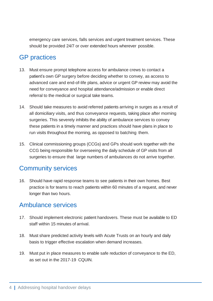emergency care services, falls services and urgent treatment services. These should be provided 24/7 or over extended hours wherever possible.

### GP practices

- 13. Must ensure prompt telephone access for ambulance crews to contact a patient's own GP surgery before deciding whether to convey, as access to advanced care and end-of-life plans, advice or urgent GP review may avoid the need for conveyance and hospital attendance/admission or enable direct referral to the medical or surgical take teams.
- 14. Should take measures to avoid referred patients arriving in surges as a result of all domiciliary visits, and thus conveyance requests, taking place after morning surgeries. This severely inhibits the ability of ambulance services to convey these patients in a timely manner and practices should have plans in place to run visits throughout the morning, as opposed to batching them.
- 15. Clinical commissioning groups (CCGs) and GPs should work together with the CCG being responsible for overseeing the daily schedule of GP visits from all surgeries to ensure that large numbers of ambulances do not arrive together.

### Community services

16. Should have rapid response teams to see patients in their own homes. Best practice is for teams to reach patients within 60 minutes of a request, and never longer than two hours.

### Ambulance services

- 17. Should implement electronic patient handovers. These must be available to ED staff within 15 minutes of arrival.
- 18. Must share predicted activity levels with Acute Trusts on an hourly and daily basis to trigger effective escalation when demand increases.
- 19. Must put in place measures to enable safe reduction of conveyance to the ED, as set out in the 2017-19 CQUIN.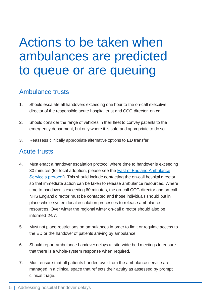# <span id="page-5-0"></span>Actions to be taken when ambulances are predicted to queue or are queuing

### Ambulance trusts

- 1. Should escalate all handovers exceeding one hour to the on-call executive director of the responsible acute hospital trust and CCG director on call.
- 2. Should consider the range of vehicles in their fleet to convey patients to the emergency department, but only where it is safe and appropriate to do so.
- 3. Reassess clinically appropriate alternative options to ED transfer.

#### Acute trusts

- 4. Must enact a handover escalation protocol where time to handover is exceeding 30 minutes (for local adoption, please see the [East of England Ambulance](https://improvement.nhs.uk/resources/addressing-ambulance-handover-delays-actions-for-local-ae-delivery-boards/)  [Service's protocol\)](https://improvement.nhs.uk/resources/addressing-ambulance-handover-delays-actions-for-local-ae-delivery-boards/). This should include contacting the on-call hospital director so that immediate action can be taken to release ambulance resources. Where time to handover is exceeding 60 minutes, the on-call CCG director and on-call NHS England director must be contacted and those individuals should put in place whole-system local escalation processes to release ambulance resources. Over winter the regional winter on-call director should also be informed 24/7.
- 5. Must not place restrictions on ambulances in order to limit or regulate access to the ED or the handover of patients arriving by ambulance.
- 6. Should report ambulance handover delays at site-wide bed meetings to ensure that there is a whole-system response when required.
- 7. Must ensure that all patients handed over from the ambulance service are managed in a clinical space that reflects their acuity as assessed by prompt clinical triage.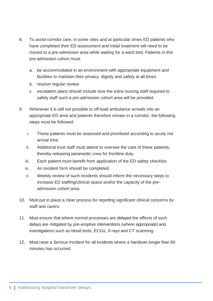- 8. To avoid corridor care, in some sites and at particular times ED patients who have completed their ED assessment and initial treatment will need to be moved to a pre-admission area while waiting for a ward bed. Patients in this pre-admission cohort must:
	- a. be accommodated in an environment with appropriate equipment and facilities to maintain their privacy, dignity and safety at all times
	- b. receive regular review
	- c. escalation plans should include how the extra nursing staff required to safely staff such a pre-admission cohort area will be provided.
- 9. Whenever it is still not possible to off-load ambulance arrivals into an appropriate ED area and patients therefore remain in a corridor, the following steps must be followed:
	- i. These patients must be assessed and prioritised according to acuity not arrival time.
	- ii. Additional trust staff must attend to oversee the care of these patients, thereby releasing paramedic crew for frontline duty.
	- iii. Each patient must benefit from application of the ED safety checklist.
	- iv. An incident form should be completed.
	- v. Weekly review of such incidents should inform the necessary steps to increase ED staffing/clinical space and/or the capacity of the preadmission cohort area.
- 10. Must put in place a clear process for reporting significant clinical concerns by staff and carers.
- 11. Must ensure that where normal processes are delayed the effects of such delays are mitigated by pre-emptive interventions (where appropriate) and investigations such as blood tests, ECGs, X-rays and CT scanning.
- 12. Must raise a Serious Incident for all incidents where a handover longer than 60 minutes has occurred.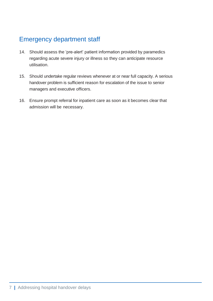### Emergency department staff

- 14. Should assess the 'pre-alert' patient information provided by paramedics regarding acute severe injury or illness so they can anticipate resource utilisation.
- 15. Should undertake regular reviews whenever at or near full capacity. A serious handover problem is sufficient reason for escalation of the issue to senior managers and executive officers.
- 16. Ensure prompt referral for inpatient care as soon as it becomes clear that admission will be necessary.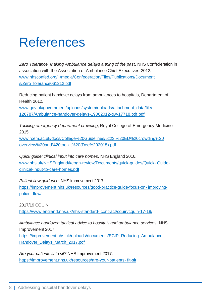# <span id="page-8-0"></span>References

*Zero Tolerance. Making Ambulance delays a thing of the past*. NHS Confederation in association with the Association of Ambulance Chief Executives 2012. [www.nhsconfed.org/~/media/Confederation/Files/Publications/Document](http://www.nhsconfed.org/~/media/Confederation/Files/Publications/Document) [s/Zero\\_tolerance061212.pdf](http://www.nhsconfed.org/~/media/Confederation/Files/Publications/Documents/Zero_tolerance061212.pdf)

Reducing patient handover delays from ambulances to hospitals, Department of Health 2012.

www.gov.uk[/](https://www.gov.uk/government/uploads/system/uploads/attachment_data/file/126787/Ambulance-handover-delays-19062012-gw-17718.pdf.pdf)government/uploads/system/uploads/attachment\_data/file/ [126787/Ambulance-handover-delays-19062012-gw-17718.pdf.pdf](https://www.gov.uk/government/uploads/system/uploads/attachment_data/file/126787/Ambulance-handover-delays-19062012-gw-17718.pdf.pdf)

*Tackling emergency department crowding*, Royal College of Emergency Medicine 2015.

[www.rcem.ac.uk/docs/College%20Guidelines/5z23.%20ED%20crowding%20](http://www.rcem.ac.uk/docs/College%20Guidelines/5z23.%20ED%20crowding%20overview%20and%20toolkit%20(Dec%202015).pdf) [overview%20and%20toolkit%20\(Dec%202015\).pdf](http://www.rcem.ac.uk/docs/College%20Guidelines/5z23.%20ED%20crowding%20overview%20and%20toolkit%20(Dec%202015).pdf)

*Quick guide: clinical input into care homes*, NHS England 2016. www.nhs.uk/NHSEngland/keogh-review/Documents/quick-guides/Quick- [Guide](http://www.nhs.uk/NHSEngland/keogh-review/Documents/quick-guides/Quick-Guide-clinical-input-to-care-homes.pdf)[clinical-input-to-care-homes.pdf](http://www.nhs.uk/NHSEngland/keogh-review/Documents/quick-guides/Quick-Guide-clinical-input-to-care-homes.pdf)

*Patient flow guidance*, NHS Improvement 2017.

[https://improvement.nhs.uk/resources/good-practice-guide-focus-on-](https://improvement.nhs.uk/resources/good-practice-guide-focus-on-%20improving-patient-flow/) improving[patient-flow/](https://improvement.nhs.uk/resources/good-practice-guide-focus-on-%20improving-patient-flow/)

2017/19 CQUIN.

[https://www.england.nhs.uk/nhs-standard-](https://www.england.nhs.uk/nhs-standard-contract/cquin/cquin-17-19/) [contract/cquin/cquin-17-19/](https://www.england.nhs.uk/nhs-standard-contract/cquin/cquin-17-19/)

*Ambulance handover: tactical advice to hospitals and ambulance services*, NHS Improvement 2017.

[https://improvement.nhs.uk/uploads/documents/ECIP\\_Reducing\\_Ambulance\\_](https://improvement.nhs.uk/uploads/documents/ECIP_Reducing_Ambulance_Handover_Delays_March_2017.pdf) [Handover\\_Delays\\_March\\_2017.pdf](https://improvement.nhs.uk/uploads/documents/ECIP_Reducing_Ambulance_Handover_Delays_March_2017.pdf)

*Are your patients fit to sit?* NHS Improvement 2017. [https://improvement.nhs.uk/resources/are-your-patients-](https://improvement.nhs.uk/resources/are-your-patients-%20fit-sit) fit-sit